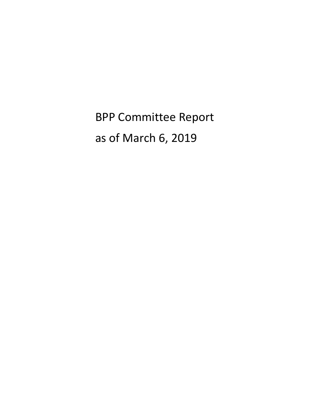BPP Committee Report as of March 6, 2019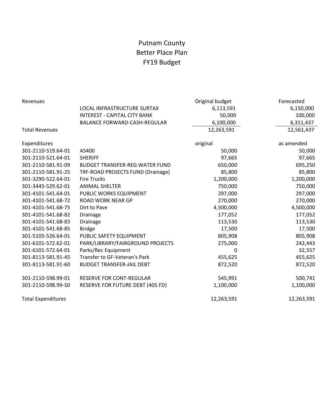# Putnam County Better Place Plan FY19 Budget

| Revenues                  |                                       | Original budget | Forecasted |
|---------------------------|---------------------------------------|-----------------|------------|
|                           | LOCAL INFRASTRUCTURE SURTAX           | 6,113,591       | 6,150,000  |
|                           | <b>INTEREST - CAPITAL CITY BANK</b>   | 50,000          | 100,000    |
|                           | <b>BALANCE FORWARD-CASH-REGULAR</b>   | 6,100,000       | 6,311,437  |
| <b>Total Revenues</b>     |                                       | 12,263,591      | 12,561,437 |
| Expenditures              |                                       | original        | as amended |
| 301-2110-519.64-01        | AS400                                 | 50,000          | 50,000     |
| 301-2110-521.64-01        | <b>SHERIFF</b>                        | 97,665          | 97,665     |
| 301-2110-581.91-09        | <b>BUDGET TRANSFER-REG WATER FUND</b> | 650,000         | 695,250    |
| 301-2110-581.91-25        | TRF-ROAD PROJECTS FUND (Drainage)     | 85,800          | 85,800     |
| 301-3290-522.64-01        | <b>Fire Trucks</b>                    | 1,200,000       | 1,200,000  |
| 301-3445-529.62-01        | <b>ANIMAL SHELTER</b>                 | 750,000         | 750,000    |
| 301-4101-541.64-01        | PUBLIC WORKS EQUIPMENT                | 297,000         | 297,000    |
| 301-4101-541.68-72        | <b>ROAD WORK NEAR GP</b>              | 270,000         | 270,000    |
| 301-4101-541.68-75        | Dirt to Pave                          | 4,500,000       | 4,500,000  |
| 301-4101-541.68-82        | Drainage                              | 177,052         | 177,052    |
| 301-4101-541.68-83        | Drainage                              | 113,530         | 113,530    |
| 301-4101-541.68-85        | <b>Bridge</b>                         | 17,500          | 17,500     |
| 301-5105-526.64-01        | PUBLIC SAFETY EQUIPMENT               | 805,908         | 805,908    |
| 301-6101-572.62-01        | PARK/LIBRARY/FAIRGROUND PROJECTS      | 275,000         | 242,443    |
| 301-6101-572.64-01        | Parks/Rec Equipment                   | 0               | 32,557     |
| 301-8113-581.91-45        | Transfer to GF-Veteran's Park         | 455,625         | 455,625    |
| 301-8113-581.91-60        | <b>BUDGET TRANSFER-JAIL DEBT</b>      | 872,520         | 872,520    |
| 301-2110-598.99-01        | RESERVE FOR CONT-REGULAR              | 545,991         | 500,741    |
| 301-2110-598.99-50        | RESERVE FOR FUTURE DEBT (405 FD)      | 1,100,000       | 1,100,000  |
| <b>Total Expenditures</b> |                                       | 12,263,591      | 12,263,591 |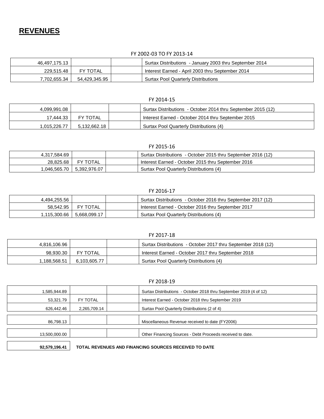## FY 2002-03 TO FY 2013-14

| 46,497,175.13 |                 | Surtax Distributions - January 2003 thru September 2014 |
|---------------|-----------------|---------------------------------------------------------|
| 229.515.48    | <b>FY TOTAL</b> | Interest Earned - April 2003 thru September 2014        |
| 7.702.655.34  | 54,429,345.95   | <b>Surtax Pool Quarterly Distributions</b>              |

## FY 2014-15

| 4.099.991.08 |              | Surtax Distributions - October 2014 thru September 2015 (12) |
|--------------|--------------|--------------------------------------------------------------|
| 17.444.33    | FY TOTAL     | Interest Earned - October 2014 thru September 2015           |
| 1.015.226.77 | 5.132.662.18 | Surtax Pool Quarterly Distributions (4)                      |

### FY 2015-16

| 4.317.584.69 |                 | Surtax Distributions - October 2015 thru September 2016 (12) |
|--------------|-----------------|--------------------------------------------------------------|
| 28.825.68    | <b>FY TOTAL</b> | Interest Earned - October 2015 thru September 2016           |
| 0.046.565.70 | 5.392.976.07    | Surtax Pool Quarterly Distributions (4)                      |

### FY 2016-17

| 4.494.255.56   |                 | Surtax Distributions - October 2016 thru September 2017 (12) |
|----------------|-----------------|--------------------------------------------------------------|
| 58.542.95      | <b>FY TOTAL</b> | Interest Earned - October 2016 thru September 2017           |
| 1.115.300.66 → | 5,668,099.17    | Surtax Pool Quarterly Distributions (4)                      |

| FY 2017-18   |                 |                                                              |  |  |  |  |
|--------------|-----------------|--------------------------------------------------------------|--|--|--|--|
| 4,816,106.96 |                 | Surtax Distributions - October 2017 thru September 2018 (12) |  |  |  |  |
| 98.930.30    | <b>FY TOTAL</b> | Interest Earned - October 2017 thru September 2018           |  |  |  |  |
| l.188.568.51 | 6.103.605.77    | Surtax Pool Quarterly Distributions (4)                      |  |  |  |  |

| FY 2018-19    |              |                                                                   |  |  |  |  |
|---------------|--------------|-------------------------------------------------------------------|--|--|--|--|
| 585,944.89, ا |              | Surtax Distributions - October 2018 thru September 2019 (4 of 12) |  |  |  |  |
| 53,321.79     | FY TOTAL     | Interest Earned - October 2018 thru September 2019                |  |  |  |  |
| 626,442.46    | 2,265,709.14 | Surtax Pool Quarterly Distributions (2 of 4)                      |  |  |  |  |
|               |              |                                                                   |  |  |  |  |
| 86,798.13     |              | Miscellaneous Revenue received to date (FY2006)                   |  |  |  |  |
|               |              |                                                                   |  |  |  |  |
| 13,500,000.00 |              | Other Financing Sources - Debt Proceeds received to date.         |  |  |  |  |
|               |              |                                                                   |  |  |  |  |

| 92,579,196.41 | <b>TOTAL</b> |
|---------------|--------------|
|               |              |

**REVENUES AND FINANCING SOURCES RECEIVED TO DATE**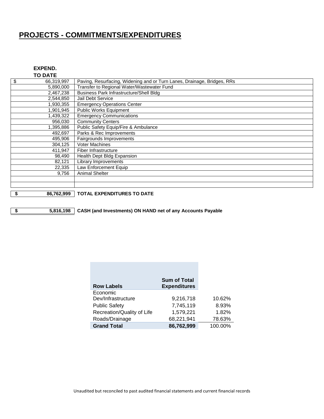# **PROJECTS - COMMITMENTS/EXPENDITURES**

| EXPEND.        |  |
|----------------|--|
| <b>TO DATE</b> |  |

| \$<br>66,319,997 | Paving, Resurfacing, Widening and or Turn Lanes, Drainage, Bridges, RRs |
|------------------|-------------------------------------------------------------------------|
| 5,890,000        | Transfer to Regional Water/Wastewater Fund                              |
| 2,467,238        | <b>Business Park Infrastructure/Shell Bldg</b>                          |
| 2,544,850        | Jail Debt Service                                                       |
| 1,930,355        | <b>Emergency Operations Center</b>                                      |
| 1,901,945        | Public Works Equipment                                                  |
| 1,439,322        | <b>Emergency Communications</b>                                         |
| 956,030          | <b>Community Centers</b>                                                |
| 1,395,886        | Public Safety Equip/Fire & Ambulance                                    |
| 492,697          | Parks & Rec Improvements                                                |
| 495,906          | Fairgrounds Improvements                                                |
| 304,125          | <b>Voter Machines</b>                                                   |
| 411,947          | Fiber Infrastructure                                                    |
| 98,490           | Health Dept Bldg Expansion                                              |
| 82,121           | Library Improvements                                                    |
| 22,335           | Law Enforcement Equip                                                   |
| 9,756            | <b>Animal Shelter</b>                                                   |
|                  |                                                                         |
|                  |                                                                         |

**\$ 86,762,999 TOTAL EXPENDITURES TO DATE**

**\$ 5,816,198 CASH (and Investments) ON HAND net of any Accounts Payable**

| <b>Row Labels</b>          | <b>Sum of Total</b><br><b>Expenditures</b> |
|----------------------------|--------------------------------------------|
| Economic                   |                                            |
| Dev/Infrastructure         | 9,216,718                                  |
| <b>Public Safety</b>       | 7,745,119                                  |
| Recreation/Quality of Life | 1,579,221                                  |
| Roads/Drainage             | 68,221,941                                 |
| <b>Grand Total</b>         | 86,762,999                                 |
|                            |                                            |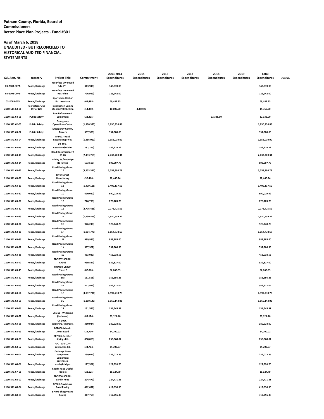#### **Putnam County, Florida, Board of Commissioners Better Place Plan Projects - Fund #301**

#### **As of March 6, 2018 UNAUDITED - BUT RECONCILED TO HISTORICAL AUDITED FINANCIAL STATEMENTS**

| G/L Acct. No.  | category                       | <b>Project Title</b>                          | Commitment    | 2003-2014<br><b>Expenditures</b> | 2015<br><b>Expenditures</b> | 2016<br><b>Expenditures</b> | 2017<br><b>Expenditures</b> | 2018<br><b>Expenditures</b> | 2019<br><b>Expenditures</b> | Total<br><b>Expenditures</b> | Encumb. |
|----------------|--------------------------------|-----------------------------------------------|---------------|----------------------------------|-----------------------------|-----------------------------|-----------------------------|-----------------------------|-----------------------------|------------------------------|---------|
|                |                                | <b>Resurface Cty Paved</b>                    |               |                                  |                             |                             |                             |                             |                             |                              |         |
| 03-2003-007A   | Roads/Drainage                 | Rds.-Ph I<br><b>Resurface Cty Paved</b>       | (343,940)     | 343,939.95                       |                             |                             |                             |                             |                             | 343,939.95                   |         |
| 03-2003-007B   | Roads/Drainage                 | Rds.-Ph II<br>Sportsman Harbor                | (726, 942)    | 726,942.00                       |                             |                             |                             |                             |                             | 726,942.00                   |         |
| 03-2003-015    | Roads/Drainage                 | Rd. resurface                                 | (69, 488)     | 69,487.95                        |                             |                             |                             |                             |                             | 69,487.95                    |         |
| 2110-519.63-01 | Recreation/Qua<br>lity of Life | Interlachen Comm<br>Ctr-Bldg/Plmbg Imp        | (14, 350)     | 10,000.00                        | 4,350.00                    |                             |                             |                             |                             | 14,350.00                    |         |
| 2110-521.64-01 | <b>Public Safety</b>           | <b>Law Enforcement</b><br>Equipment           | (22, 335)     |                                  |                             |                             |                             | 22,335.00                   |                             | 22,335.00                    |         |
| 2110-525.62-05 | <b>Public Safety</b>           | Emergency<br><b>Operations Center</b>         | (1,930,355)   | 1,930,354.86                     |                             |                             |                             |                             |                             | 1,930,354.86                 |         |
| 2110-529.63-02 | <b>Public Safety</b>           | <b>Emergency Comm.</b><br><b>Towers</b>       | (357, 580)    | 357,580.00                       |                             |                             |                             |                             |                             | 357,580.00                   |         |
| 2110-541.63-04 | Roads/Drainage                 | BPP007-Road<br><b>Resurfacing FY 07</b>       | (1,356,010)   | 1,356,010.00                     |                             |                             |                             |                             |                             | 1,356,010.00                 |         |
| 2110-541.63-16 | Roads/Drainage                 | CR 309 -<br>Resurface/Widen                   | (782, 215)    | 782,214.52                       |                             |                             |                             |                             |                             | 782,214.52                   |         |
| 2110-541.63-18 | Roads/Drainage                 | <b>Road Resurfacing/FY</b><br>05-06           | (2,433,769)   | 2,433,769.31                     |                             |                             |                             |                             |                             | 2,433,769.31                 |         |
| 2110-541.63-24 | Roads/Drainage                 | Ashley St./Rutledge<br><b>Rd Paving</b>       | (693,508)     | 693,507.76                       |                             |                             |                             |                             |                             | 693,507.76                   |         |
| 2110-541.63-27 | Roads/Drainage                 | Road Paving Group<br>1A                       | (3,553,391)   | 3,553,390.79                     |                             |                             |                             |                             |                             | 3,553,390.79                 |         |
| 2110-541.63-28 | Roads/Drainage                 | <b>River Street</b><br>Resurfacing            | (32, 460)     | 32,460.24                        |                             |                             |                             |                             |                             | 32,460.24                    |         |
| 2110-541.63-29 | Roads/Drainage                 | <b>Road Paving Group</b><br>1B                | (1,409,118)   | 1,409,117.50                     |                             |                             |                             |                             |                             | 1,409,117.50                 |         |
| 2110-541.63-30 | Roads/Drainage                 | <b>Road Paving Group</b><br><b>1C</b>         | (690, 020)    | 690,019.99                       |                             |                             |                             |                             |                             | 690,019.99                   |         |
| 2110-541.63-31 | Roads/Drainage                 | <b>Road Paving Group</b><br><b>1D</b>         | (776, 790)    | 776,789.78                       |                             |                             |                             |                             |                             | 776,789.78                   |         |
| 2110-541.63-32 | Roads/Drainage                 | <b>Road Paving Group</b><br>1E                | (2,776,426)   | 2,776,425.59                     |                             |                             |                             |                             |                             | 2,776,425.59                 |         |
| 2110-541.63-33 | Roads/Drainage                 | <b>Road Paving Group</b><br>1F                | (1,930,559)   | 1,930,559.32                     |                             |                             |                             |                             |                             | 1,930,559.32                 |         |
| 2110-541.63-34 | Roads/Drainage                 | <b>Road Paving Group</b><br>1G                | (926, 240)    | 926,240.29                       |                             |                             |                             |                             |                             | 926,240.29                   |         |
| 2110-541.63-35 | Roads/Drainage                 | <b>Road Paving Group</b><br>1H                | (1,054,779)   | 1,054,778.67                     |                             |                             |                             |                             |                             | 1,054,778.67                 |         |
| 2110-541.63-36 | Roads/Drainage                 | <b>Road Paving Group</b><br>11                | (989, 986)    | 989,985.60                       |                             |                             |                             |                             |                             | 989,985.60                   |         |
| 2110-541.63-37 | Roads/Drainage                 | <b>Road Paving Group</b><br>1K                | (597, 907)    | 597,906.56                       |                             |                             |                             |                             |                             | 597,906.56                   |         |
| 2110-541.63-38 | Roads/Drainage                 | <b>Road Paving Group</b><br>1L                | (453, 039)    | 453,038.55                       |                             |                             |                             |                             |                             | 453,038.55                   |         |
| 2110-541.63-42 | Roads/Drainage                 | FDOT07-SCRAP-<br><b>CR308</b>                 | (939, 827)    | 939,827.00                       |                             |                             |                             |                             |                             | 939,827.00                   |         |
| 2110-541.63-45 | Roads/Drainage                 | FDOT08-CR309-<br>Phase 2                      | (82,066)      | 82,065.55                        |                             |                             |                             |                             |                             | 82,065.55                    |         |
| 2110-541.63-52 | Roads/Drainage                 | <b>Road Paving Group</b><br><b>1M</b>         | (151, 556)    | 151,556.26                       |                             |                             |                             |                             |                             | 151,556.26                   |         |
| 2110-541.63-53 | Roads/Drainage                 | Road Paving Group<br><b>1N</b>                | (542, 922)    | 542,922.04                       |                             |                             |                             |                             |                             | 542,922.04                   |         |
| 2110-541.63-54 | Roads/Drainage                 | <b>Road Paving Group</b><br>1P                | (4,997,731)   | 4,997,730.73                     |                             |                             |                             |                             |                             | 4,997,730.73                 |         |
| 2110-541.63-55 | Roads/Drainage                 | <b>Road Paving Group</b><br>1Q                | (1, 160, 143) | 1,160,143.05                     |                             |                             |                             |                             |                             | 1,160,143.05                 |         |
| 2110-541.63-56 | Roads/Drainage                 | <b>Road Paving Group</b><br>$1\mathrm{R}$     | (131, 546)    | 131,545.91                       |                             |                             |                             |                             |                             | 131,545.91                   |         |
| 2110-541.63-57 | Roads/Drainage                 | CR 315 - Widening<br>(in-house)               | (89, 124)     | 89,124.40                        |                             |                             |                             |                             |                             | 89,124.40                    |         |
| 2110-541.63-58 | Roads/Drainage                 | CR 309C -<br>Widening/Improve.                | (380, 924)    | 380,924.00                       |                             |                             |                             |                             |                             | 380,924.00                   |         |
| 2110-541.63-59 | Roads/Drainage                 | BPP006-Marvin<br><b>Jones Road</b>            | (24, 700)     | 24,700.02                        |                             |                             |                             |                             |                             | 24,700.02                    |         |
| 2110-541.63-60 | Roads/Drainage                 | BPP006-Beecher<br>Springs Rd.                 | (858, 869)    | 858,868.84                       |                             |                             |                             |                             |                             | 858,868.84                   |         |
| 2110-541.63-62 | Roads/Drainage                 | FDOT10-SCOP-<br>Yelvington Rd.                | (34, 704)     | 34,703.67                        |                             |                             |                             |                             |                             | 34,703.67                    |         |
| 2110-541.64-01 | Roads/Drainage                 | <b>Drainage Crew</b><br>Equipment             | (239, 074)    | 239,073.85                       |                             |                             |                             |                             |                             | 239,073.85                   |         |
| 2110-541.64-01 | Roads/Drainage                 | Equipment<br>purchases-<br>roads/bridges      | (127, 521)    | 127,520.70                       |                             |                             |                             |                             |                             | 127,520.70                   |         |
| 2110-541.67-06 | Roads/Drainage                 | <b>Roddy Road Outfall</b><br>Project          | (28, 125)     | 28,124.79                        |                             |                             |                             |                             |                             | 28,124.79                    |         |
| 2110-541.68-02 | Roads/Drainage                 | FDOT06-SCRAP-<br><b>Bardin Road</b>           | (224, 472)    | 224,471.81                       |                             |                             |                             |                             |                             | 224,471.81                   |         |
| 2110-541.68-04 | Roads/Drainage                 | <b>BPP06-Davis Lake</b><br><b>Road Paving</b> | (412, 637)    | 412,636.90                       |                             |                             |                             |                             |                             | 412,636.90                   |         |
| 2110-541.68-08 | Roads/Drainage                 | <b>BPP06-Shaggy Lane</b><br>Paving            | (317, 755)    | 317,755.30                       |                             |                             |                             |                             |                             | 317,755.30                   |         |
|                |                                |                                               |               |                                  |                             |                             |                             |                             |                             |                              |         |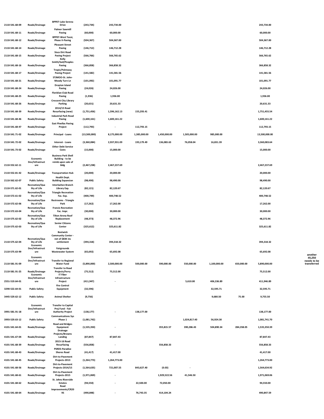|                |                                | <b>BPP07-Lake Serena</b>                                          |              |                          |              |              |              |              |            |               |
|----------------|--------------------------------|-------------------------------------------------------------------|--------------|--------------------------|--------------|--------------|--------------|--------------|------------|---------------|
| 2110-541.68-09 | Roads/Drainage                 | Drive                                                             | (243, 734)   | 243,734.00               |              |              |              |              |            | 243,734.00    |
| 2110-541.68-11 | Roads/Drainage                 | <b>Palmer Sawmill</b><br>Paving                                   | (60,000)     | 60,000.00                |              |              |              |              |            | 60,000.00     |
|                |                                | <b>BPP07-West Tocoi,</b>                                          |              |                          |              |              |              |              |            |               |
| 2110-541.68-12 | Roads/Drainage                 | <b>Phase II-Paving</b><br><b>Pleasant Street</b>                  | (504, 367)   | 504,367.00               |              |              |              |              |            | 504,367.00    |
| 2110-541.68-14 | Roads/Drainage                 | Paving<br><b>Sisco Dirt Road</b>                                  | (146, 712)   | 146,712.28               |              |              |              |              |            | 146,712.28    |
| 2110-541.68-15 | Roads/Drainage                 | <b>Paving Project</b><br>Kelly                                    | (566, 766)   | 566,765.62               |              |              |              |              |            | 566,765.62    |
| 2110-541.68-16 | Roads/Drainage                 | Smith/Gail/Peoples<br>Paving<br>Tropic/Palmway                    | (366, 858)   | 366,858.32               |              |              |              |              |            | 366,858.32    |
| 2110-541.68-17 | Roads/Drainage                 | <b>Paving Project</b>                                             | (141, 582)   | 141,581.56               |              |              |              |              |            | 141,581.56    |
| 2110-541.68-21 | Roads/Drainage                 | STJMOO-St. John-<br>Moody Turn Ln                                 | (101,092)    | 101,091.77               |              |              |              |              |            | 101,091.77    |
| 2110-541.68-24 | Roads/Drainage                 | <b>Drayton Island</b><br>Paving                                   | (24, 026)    | 24,026.00                |              |              |              |              |            | 24,026.00     |
| 2110-541.68-25 | Roads/Drainage                 | <b>Floridian Club Road</b><br>Paving                              | (1,936)      | 1,936.00                 |              |              |              |              |            | 1,936.00      |
| 2110-541.68-26 | Roads/Drainage                 | <b>Crescent City Library</b><br>Parking                           | (20, 631)    | 20,631.33                |              |              |              |              |            | 20,631.33     |
| 2110-541.68-39 | Roads/Drainage                 | 2014/15 Road<br>Resurfacing (new)                                 | (1,751,456)  | 1,596,162.13             | 155,293.41   |              |              |              |            | 1,751,455.54  |
| 2110-541.68-46 | Roads/Drainage                 | <b>Industrial Park Road</b><br>Paving                             | (1,600,161)  | 1,600,161.22             |              |              |              |              |            | 1,600,161.22  |
| 2110-541.68-47 | Roads/Drainage                 | <b>East Pinellas Paving</b><br>Project                            | (112,793)    |                          | 112,793.15   |              |              |              |            | 112,793.15    |
| 2110-541.71-02 | Roads/Drainage                 | Principal - Loans                                                 | (13,500,000) | 8,175,000.00             | 1,385,000.00 | 1,450,000.00 | 1,505,000.00 | 985,000.00   |            | 13,500,000.00 |
| 2110-541.72-02 | Roads/Drainage                 | Interest - Loans<br><b>Other Debt Service</b>                     | (3,360,084)  | 2,937,931.09             | 193,179.49   | 136,083.63   | 76,058.04    | 16,831.39    |            | 3,360,083.64  |
| 2110-541.73-02 | Roads/Drainage                 | Costs                                                             | (15,000)     | 15,000.00                |              |              |              |              |            | 15,000.00     |
|                | Economic                       | <b>Business Park Shell</b><br>Building - to be                    |              |                          |              |              |              |              |            |               |
|                | Dev/Infrastruct                | reimb upon sale of                                                |              |                          |              |              |              |              |            |               |
| 2110-552.62-11 | ure                            | bldg                                                              | (2,467,238)  | 2,467,237.69             |              |              |              |              |            | 2,467,237.69  |
| 2110-552.81-42 | Roads/Drainage                 | <b>Transportation Hub</b><br><b>Health Dept.</b>                  | (20,000)     | 20,000.00                |              |              |              |              |            | 20,000.00     |
| 2110-562.62-07 | <b>Public Safety</b>           | <b>Building Expansion</b>                                         | (98,490)     | 98,490.00                |              |              |              |              |            | 98,490.00     |
| 2110-571.62-01 | Recreation/Qua<br>lity of Life | Interlachen Branch<br>Library Exp.                                | (82, 121)    | 82,120.67                |              |              |              |              |            | 82,120.67     |
| 2110-572.61-02 | Recreation/Qua<br>lity of Life | <b>Triangle Recreation</b><br>Fac. Exp.                           | (400, 749)   | 400,748.52               |              |              |              |              |            | 400,748.52    |
| 2110-572.62-06 | Recreation/Qua<br>lity of Life | <b>Restrooms - Triangle</b><br>Park                               | (17, 262)    | 17,262.00                |              |              |              |              |            | 17,262.00     |
| 2110-572.63-04 | Recreation/Qua<br>lity of Life | <b>Francis Recreation</b><br>Fac. Impr.                           | (30,000)     | 30,000.00                |              |              |              |              |            | 30,000.00     |
| 2110-575.62-02 | Recreation/Qua<br>lity of Life | <b>Tilton Arena Roof</b><br>Replacement<br><b>Senior Citizens</b> | (48, 373)    | 48,372.96                |              |              |              |              |            | 48,372.96     |
| 2110-575.62-03 | Recreation/Qua<br>lity of Life | Center                                                            | (325, 612)   | 325,611.82               |              |              |              |              |            | 325,611.82    |
|                |                                | <b>Bostwick</b><br><b>Community Center -</b>                      |              |                          |              |              |              |              |            |               |
| 2110-575.62-04 | Recreation/Qua<br>lity of Life | net of \$83K ins<br>settlement                                    | (394, 318)   | 394,318.32               |              |              |              |              |            | 394,318.32    |
|                | Economic<br>Dev/Infrastruct    | <b>Fairgrounds</b>                                                |              |                          |              |              |              |              |            |               |
| 2110-575.63-99 | ure<br>Fronomic                | <b>Wastewater System</b>                                          | (65, 692)    | 65,692.08                |              |              |              |              |            | 65,692.08     |
|                | Dev/Infrastruct                | <b>Transfer to Regional</b>                                       |              |                          |              |              |              |              |            |               |
| 2110-581.91-09 | ure                            | <b>Water Fund</b><br><b>Transfer to Road</b>                      | (5,890,000)  | 2,500,000.00             | 500,000.00   | 590,000.00   | 550,000.00   | 1,100,000.00 | 650,000.00 | 5,890,000.00  |
| 2110-581.91-25 | Roads/Drainage<br>Economic     | Projects/Ferry<br><b>IT Fiber</b>                                 | (75, 512)    | 75,512.00                |              |              |              |              |            | 75,512.00     |
| 2551-519.64-01 | Dev/Infrastruct<br>ure         | Infrastructure<br>Project                                         | (411, 947)   |                          |              |              | 5,610.00     | 406,336.89   |            | 411,946.89    |
| 3290-522.64-01 | <b>Public Safety</b>           | <b>Fire Control</b><br>Equipment                                  | (32, 596)    |                          |              |              |              | 32,595.71    |            | 32,595.71     |
|                |                                |                                                                   |              |                          |              |              |              |              |            |               |
| 3445-529.62-12 | <b>Public Safety</b>           | <b>Animal Shelter</b>                                             | (9,756)      |                          |              |              |              | 9,680.50     | 75.00      | 9,755.50      |
|                | Economic                       | <b>Transfer to Capital</b>                                        |              |                          |              |              |              |              |            |               |
| 3991-581.91-18 | Dev/Infrastruct<br>ure         | Proj Fund - Fair<br><b>Authority Project</b>                      | (138, 177)   |                          | 138,177.00   |              |              |              |            | 138,177.00    |
|                |                                | <b>Communications Sys</b>                                         |              |                          |              |              |              |              |            |               |
| 3993-529.63-12 | <b>Public Safety</b>           | Phase 1<br><b>Road and Bridges</b>                                | (1,081,742)  |                          |              |              | 1,024,817.40 | 56,924.30    |            | 1,081,741.70  |
| 4101-541.64-01 | Roads/Drainage                 | Equipment<br><b>Drainage</b><br>Projects/Browns                   | (1,535,350)  |                          |              | 355,815.57   | 390,286.43   | 504,890.34   | 284,358.05 | 1,535,350.39  |
| 4101-541.67-04 | Roads/Drainage                 | Landing<br>2015-16 Road                                           | (87, 847)    | 87,847.43                |              |              |              |              |            | 87,847.43     |
| 4101-541.68-39 | Roads/Drainage                 | Resurfacing                                                       | (556, 858)   | $\sim$                   |              | 556,858.33   |              |              |            | 556,858.33    |
| 4101-541.68-43 | Roads/Drainage                 | <b>PSRDS-Paradise</b><br><b>Shores Road</b><br>Dirt-to-Pavement   | (41, 417)    | 41,417.00                |              |              |              |              |            | 41,417.00     |
| 4101-541.68-45 | Roads/Drainage                 | Projects-2013<br>Dirt-to-Pavement                                 | (1,264,773)  | 1,264,773.00             |              |              |              |              |            | 1,264,773.00  |
| 4101-541.68-56 | Roads/Drainage                 | Projects-2014/15<br>Dirt-to-Pavement                              | (1,564,635)  | 721,007.55               | 843,627.40   | (0.03)       |              |              |            | 1,564,634.92  |
| 4101-541.68-61 | Roads/Drainage                 | Projects-2015                                                     | (1,971,069)  |                          |              | 1,929,522.56 | 41,546.50    |              |            | 1,971,069.06  |
| 4101-541.68-62 | Roads/Drainage                 | St. Johns Riverside<br>Estates<br>Road                            | (94, 550)    |                          | 22,500.00    | 72,050.00    |              |              |            | 94,550.00     |
| 4101-541.68-64 | Roads/Drainage                 | Improvements/CR20<br>95                                           | (490, 848)   | $\overline{\phantom{a}}$ | 76,743.35    | 414,104.24   |              |              |            | 490,847.59    |

**another 45,250 needs to be transferred**